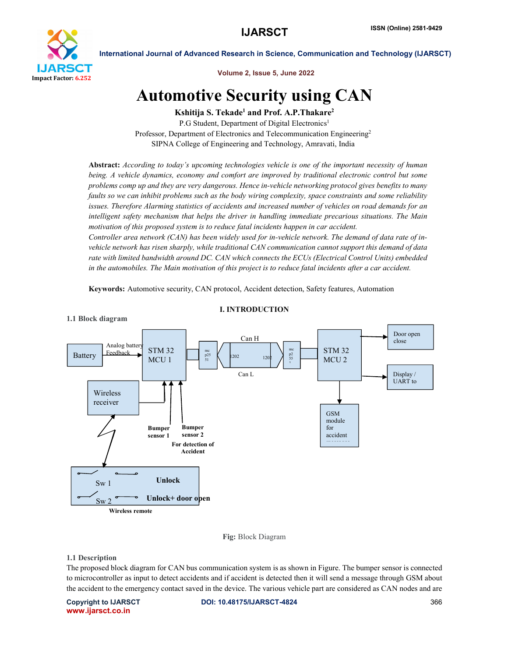

Volume 2, Issue 5, June 2022

# Automotive Security using CAN

Kshitija S. Tekade<sup>1</sup> and Prof. A.P. Thakare<sup>2</sup>

P.G Student, Department of Digital Electronics<sup>1</sup> Professor, Department of Electronics and Telecommunication Engineering<sup>2</sup> SIPNA College of Engineering and Technology, Amravati, India

Abstract: *According to today's upcoming technologies vehicle is one of the important necessity of human being. A vehicle dynamics, economy and comfort are improved by traditional electronic control but some problems comp up and they are very dangerous. Hence in-vehicle networking protocol gives benefits to many faults so we can inhibit problems such as the body wiring complexity, space constraints and some reliability issues. Therefore Alarming statistics of accidents and increased number of vehicles on road demands for an intelligent safety mechanism that helps the driver in handling immediate precarious situations. The Main motivation of this proposed system is to reduce fatal incidents happen in car accident.* 

*Controller area network (CAN) has been widely used for in-vehicle network. The demand of data rate of invehicle network has risen sharply, while traditional CAN communication cannot support this demand of data rate with limited bandwidth around DC. CAN which connects the ECUs (Electrical Control Units) embedded in the automobiles. The Main motivation of this project is to reduce fatal incidents after a car accident.*

Keywords: Automotive security, CAN protocol, Accident detection, Safety features, Automation



# I. INTRODUCTION

Fig: Block Diagram

## 1.1 Description

The proposed block diagram for CAN bus communication system is as shown in Figure. The bumper sensor is connected to microcontroller as input to detect accidents and if accident is detected then it will send a message through GSM about the accident to the emergency contact saved in the device. The various vehicle part are considered as CAN nodes and are

www.ijarsct.co.in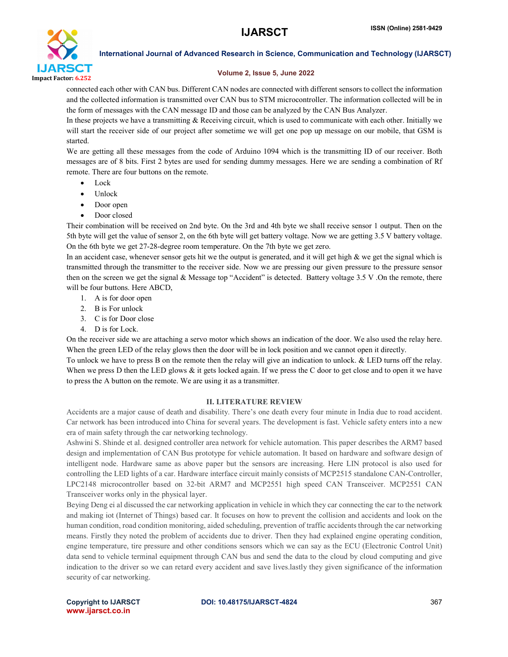

## Volume 2, Issue 5, June 2022

connected each other with CAN bus. Different CAN nodes are connected with different sensors to collect the information and the collected information is transmitted over CAN bus to STM microcontroller. The information collected will be in the form of messages with the CAN message ID and those can be analyzed by the CAN Bus Analyzer.

In these projects we have a transmitting & Receiving circuit, which is used to communicate with each other. Initially we will start the receiver side of our project after sometime we will get one pop up message on our mobile, that GSM is started.

We are getting all these messages from the code of Arduino 1094 which is the transmitting ID of our receiver. Both messages are of 8 bits. First 2 bytes are used for sending dummy messages. Here we are sending a combination of Rf remote. There are four buttons on the remote.

- $\bullet$  Lock
- Unlock
- Door open
- Door closed

Their combination will be received on 2nd byte. On the 3rd and 4th byte we shall receive sensor 1 output. Then on the 5th byte will get the value of sensor 2, on the 6th byte will get battery voltage. Now we are getting 3.5 V battery voltage. On the 6th byte we get 27-28-degree room temperature. On the 7th byte we get zero.

In an accident case, whenever sensor gets hit we the output is generated, and it will get high  $\&$  we get the signal which is transmitted through the transmitter to the receiver side. Now we are pressing our given pressure to the pressure sensor then on the screen we get the signal & Message top "Accident" is detected. Battery voltage 3.5 V .On the remote, there will be four buttons. Here ABCD,

- 1. A is for door open
- 2. B is For unlock
- 3. C is for Door close
- 4. D is for Lock.

On the receiver side we are attaching a servo motor which shows an indication of the door. We also used the relay here. When the green LED of the relay glows then the door will be in lock position and we cannot open it directly.

To unlock we have to press B on the remote then the relay will give an indication to unlock. & LED turns off the relay. When we press D then the LED glows  $\&$  it gets locked again. If we press the C door to get close and to open it we have to press the A button on the remote. We are using it as a transmitter.

## II. LITERATURE REVIEW

Accidents are a major cause of death and disability. There's one death every four minute in India due to road accident. Car network has been introduced into China for several years. The development is fast. Vehicle safety enters into a new era of main safety through the car networking technology.

Ashwini S. Shinde et al. designed controller area network for vehicle automation. This paper describes the ARM7 based design and implementation of CAN Bus prototype for vehicle automation. It based on hardware and software design of intelligent node. Hardware same as above paper but the sensors are increasing. Here LIN protocol is also used for controlling the LED lights of a car. Hardware interface circuit mainly consists of MCP2515 standalone CAN-Controller, LPC2148 microcontroller based on 32-bit ARM7 and MCP2551 high speed CAN Transceiver. MCP2551 CAN Transceiver works only in the physical layer.

Beying Deng ei al discussed the car networking application in vehicle in which they car connecting the car to the network and making iot (Internet of Things) based car. It focuses on how to prevent the collision and accidents and look on the human condition, road condition monitoring, aided scheduling, prevention of traffic accidents through the car networking means. Firstly they noted the problem of accidents due to driver. Then they had explained engine operating condition, engine temperature, tire pressure and other conditions sensors which we can say as the ECU (Electronic Control Unit) data send to vehicle terminal equipment through CAN bus and send the data to the cloud by cloud computing and give indication to the driver so we can retard every accident and save lives.lastly they given significance of the information security of car networking.

### Copyright to IJARSCT **DOI: 10.48175/IJARSCT-4824** 367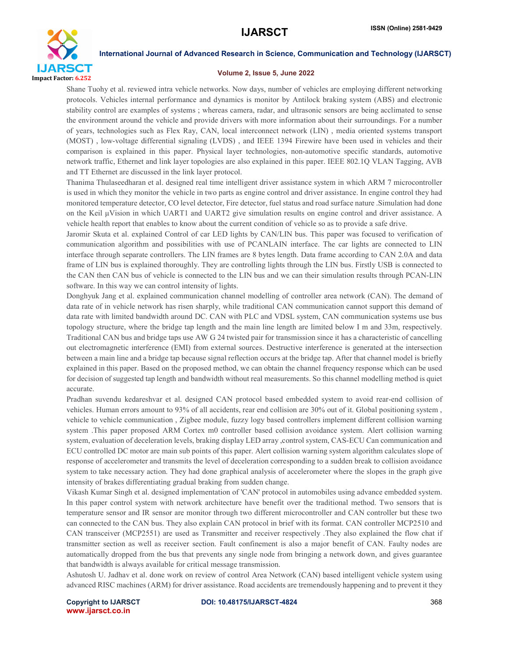

### Volume 2, Issue 5, June 2022

Shane Tuohy et al. reviewed intra vehicle networks. Now days, number of vehicles are employing different networking protocols. Vehicles internal performance and dynamics is monitor by Antilock braking system (ABS) and electronic stability control are examples of systems ; whereas camera, radar, and ultrasonic sensors are being acclimated to sense the environment around the vehicle and provide drivers with more information about their surroundings. For a number of years, technologies such as Flex Ray, CAN, local interconnect network (LIN) , media oriented systems transport (MOST) , low-voltage differential signaling (LVDS) , and IEEE 1394 Firewire have been used in vehicles and their comparison is explained in this paper. Physical layer technologies, non-automotive specific standards, automotive network traffic, Ethernet and link layer topologies are also explained in this paper. IEEE 802.1Q VLAN Tagging, AVB and TT Ethernet are discussed in the link layer protocol.

Thanima Thulaseedharan et al. designed real time intelligent driver assistance system in which ARM 7 microcontroller is used in which they monitor the vehicle in two parts as engine control and driver assistance. In engine control they had monitored temperature detector, CO level detector, Fire detector, fuel status and road surface nature .Simulation had done on the Keil μVision in which UART1 and UART2 give simulation results on engine control and driver assistance. A vehicle health report that enables to know about the current condition of vehicle so as to provide a safe drive.

Jaromir Skuta et al. explained Control of car LED lights by CAN/LIN bus. This paper was focused to verification of communication algorithm and possibilities with use of PCANLAIN interface. The car lights are connected to LIN interface through separate controllers. The LIN frames are 8 bytes length. Data frame according to CAN 2.0A and data frame of LIN bus is explained thoroughly. They are controlling lights through the LIN bus. Firstly USB is connected to the CAN then CAN bus of vehicle is connected to the LIN bus and we can their simulation results through PCAN-LIN software. In this way we can control intensity of lights.

Donghyuk Jang et al. explained communication channel modelling of controller area network (CAN). The demand of data rate of in vehicle network has risen sharply, while traditional CAN communication cannot support this demand of data rate with limited bandwidth around DC. CAN with PLC and VDSL system, CAN communication systems use bus topology structure, where the bridge tap length and the main line length are limited below I m and 33m, respectively. Traditional CAN bus and bridge taps use AW G 24 twisted pair for transmission since it has a characteristic of cancelling out electromagnetic interference (EMI) from external sources. Destructive interference is generated at the intersection between a main line and a bridge tap because signal reflection occurs at the bridge tap. After that channel model is briefly explained in this paper. Based on the proposed method, we can obtain the channel frequency response which can be used for decision of suggested tap length and bandwidth without real measurements. So this channel modelling method is quiet accurate.

Pradhan suvendu kedareshvar et al. designed CAN protocol based embedded system to avoid rear-end collision of vehicles. Human errors amount to 93% of all accidents, rear end collision are 30% out of it. Global positioning system , vehicle to vehicle communication , Zigbee module, fuzzy logy based controllers implement different collision warning system .This paper proposed ARM Cortex m0 controller based collision avoidance system. Alert collision warning system, evaluation of deceleration levels, braking display LED array ,control system, CAS-ECU Can communication and ECU controlled DC motor are main sub points of this paper. Alert collision warning system algorithm calculates slope of response of accelerometer and transmits the level of deceleration corresponding to a sudden break to collision avoidance system to take necessary action. They had done graphical analysis of accelerometer where the slopes in the graph give intensity of brakes differentiating gradual braking from sudden change.

Vikash Kumar Singh et al. designed implementation of 'CAN' protocol in automobiles using advance embedded system. In this paper control system with network architecture have benefit over the traditional method. Two sensors that is temperature sensor and IR sensor are monitor through two different microcontroller and CAN controller but these two can connected to the CAN bus. They also explain CAN protocol in brief with its format. CAN controller MCP2510 and CAN transceiver (MCP2551) are used as Transmitter and receiver respectively .They also explained the flow chat if transmitter section as well as receiver section. Fault confinement is also a major benefit of CAN. Faulty nodes are automatically dropped from the bus that prevents any single node from bringing a network down, and gives guarantee that bandwidth is always available for critical message transmission.

Ashutosh U. Jadhav et al. done work on review of control Area Network (CAN) based intelligent vehicle system using advanced RISC machines (ARM) for driver assistance. Road accidents are tremendously happening and to prevent it they

www.ijarsct.co.in

Copyright to IJARSCT **DOI: 10.48175/IJARSCT-4824** 368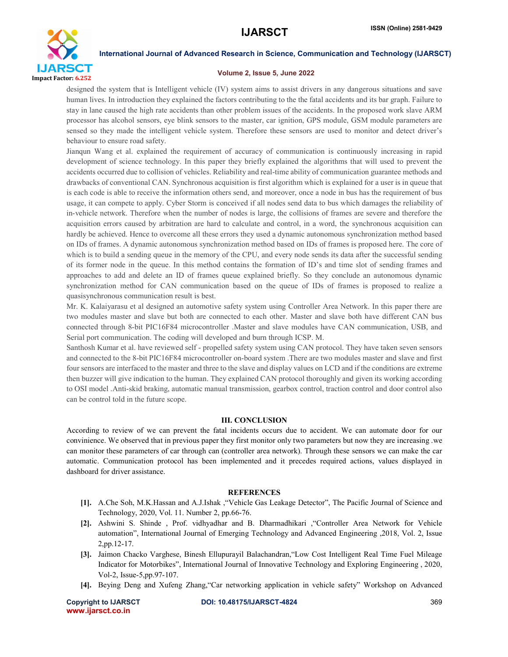

### Volume 2, Issue 5, June 2022

designed the system that is Intelligent vehicle (IV) system aims to assist drivers in any dangerous situations and save human lives. In introduction they explained the factors contributing to the the fatal accidents and its bar graph. Failure to stay in lane caused the high rate accidents than other problem issues of the accidents. In the proposed work slave ARM processor has alcohol sensors, eye blink sensors to the master, car ignition, GPS module, GSM module parameters are sensed so they made the intelligent vehicle system. Therefore these sensors are used to monitor and detect driver's behaviour to ensure road safety.

Jianqun Wang et al. explained the requirement of accuracy of communication is continuously increasing in rapid development of science technology. In this paper they briefly explained the algorithms that will used to prevent the accidents occurred due to collision of vehicles. Reliability and real-time ability of communication guarantee methods and drawbacks of conventional CAN. Synchronous acquisition is first algorithm which is explained for a user is in queue that is each code is able to receive the information others send, and moreover, once a node in bus has the requirement of bus usage, it can compete to apply. Cyber Storm is conceived if all nodes send data to bus which damages the reliability of in-vehicle network. Therefore when the number of nodes is large, the collisions of frames are severe and therefore the acquisition errors caused by arbitration are hard to calculate and control, in a word, the synchronous acquisition can hardly be achieved. Hence to overcome all these errors they used a dynamic autonomous synchronization method based on IDs of frames. A dynamic autonomous synchronization method based on IDs of frames is proposed here. The core of which is to build a sending queue in the memory of the CPU, and every node sends its data after the successful sending of its former node in the queue. In this method contains the formation of ID's and time slot of sending frames and approaches to add and delete an ID of frames queue explained briefly. So they conclude an autonomous dynamic synchronization method for CAN communication based on the queue of IDs of frames is proposed to realize a quasisynchronous communication result is best.

Mr. K. Kalaiyarasu et al designed an automotive safety system using Controller Area Network. In this paper there are two modules master and slave but both are connected to each other. Master and slave both have different CAN bus connected through 8-bit PIC16F84 microcontroller .Master and slave modules have CAN communication, USB, and Serial port communication. The coding will developed and burn through ICSP. M.

Santhosh Kumar et al. have reviewed self - propelled safety system using CAN protocol. They have taken seven sensors and connected to the 8-bit PIC16F84 microcontroller on-board system .There are two modules master and slave and first four sensors are interfaced to the master and three to the slave and display values on LCD and if the conditions are extreme then buzzer will give indication to the human. They explained CAN protocol thoroughly and given its working according to OSI model .Anti-skid braking, automatic manual transmission, gearbox control, traction control and door control also can be control told in the future scope.

## III. CONCLUSION

According to review of we can prevent the fatal incidents occurs due to accident. We can automate door for our convinience. We observed that in previous paper they first monitor only two parameters but now they are increasing .we can monitor these parameters of car through can (controller area network). Through these sensors we can make the car automatic. Communication protocol has been implemented and it precedes required actions, values displayed in dashboard for driver assistance.

## **REFERENCES**

- [1]. A.Che Soh, M.K.Hassan and A.J.Ishak ,"Vehicle Gas Leakage Detector", The Pacific Journal of Science and Technology, 2020, Vol. 11. Number 2, pp.66-76.
- [2]. Ashwini S. Shinde , Prof. vidhyadhar and B. Dharmadhikari ,"Controller Area Network for Vehicle automation", International Journal of Emerging Technology and Advanced Engineering ,2018, Vol. 2, Issue 2,pp.12-17.
- [3]. Jaimon Chacko Varghese, Binesh Ellupurayil Balachandran,"Low Cost Intelligent Real Time Fuel Mileage Indicator for Motorbikes", International Journal of Innovative Technology and Exploring Engineering , 2020, Vol-2, Issue-5,pp.97-107.
- [4]. Beying Deng and Xufeng Zhang,"Car networking application in vehicle safety" Workshop on Advanced

Copyright to IJARSCT **DOI: 10.48175/IJARSCT-4824** 369 www.ijarsct.co.in